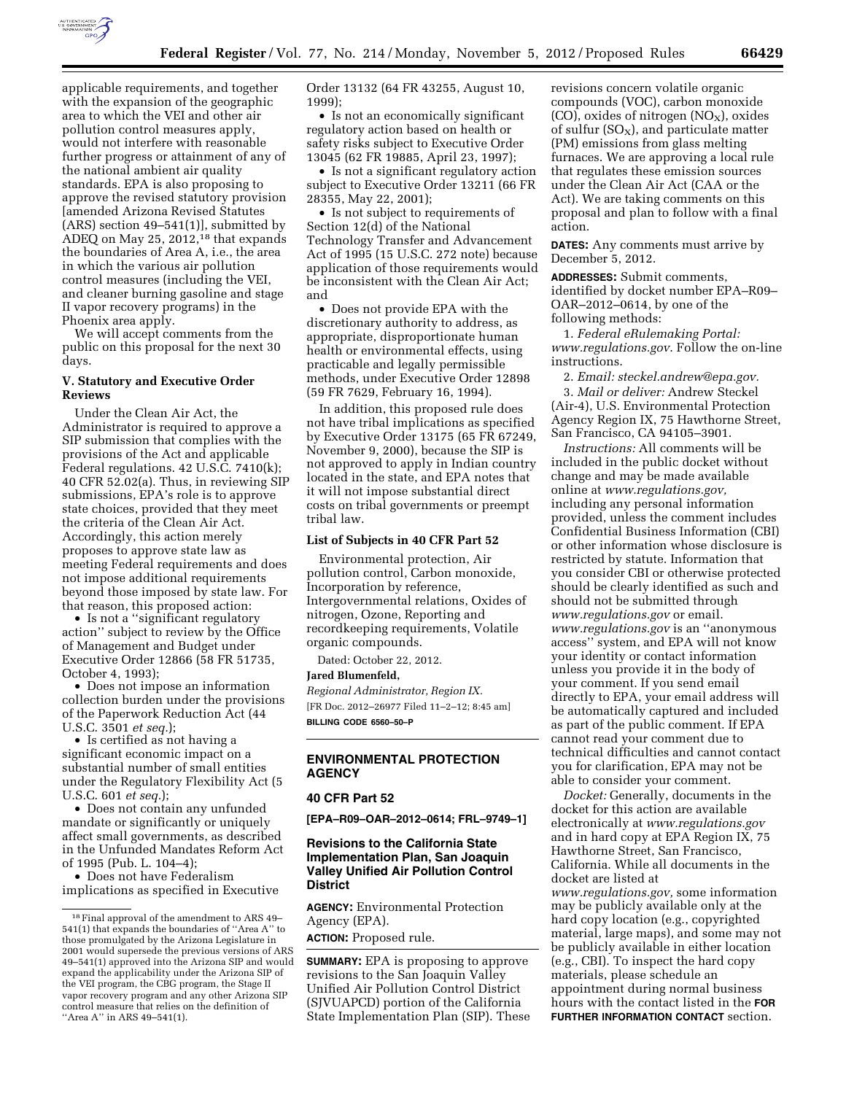

applicable requirements, and together with the expansion of the geographic area to which the VEI and other air pollution control measures apply, would not interfere with reasonable further progress or attainment of any of the national ambient air quality standards. EPA is also proposing to approve the revised statutory provision [amended Arizona Revised Statutes (ARS) section 49–541(1)], submitted by ADEQ on May 25, 2012,<sup>18</sup> that expands the boundaries of Area A, i.e., the area in which the various air pollution control measures (including the VEI, and cleaner burning gasoline and stage II vapor recovery programs) in the Phoenix area apply.

We will accept comments from the public on this proposal for the next 30 days.

### **V. Statutory and Executive Order Reviews**

Under the Clean Air Act, the Administrator is required to approve a SIP submission that complies with the provisions of the Act and applicable Federal regulations. 42 U.S.C. 7410(k); 40 CFR 52.02(a). Thus, in reviewing SIP submissions, EPA's role is to approve state choices, provided that they meet the criteria of the Clean Air Act. Accordingly, this action merely proposes to approve state law as meeting Federal requirements and does not impose additional requirements beyond those imposed by state law. For that reason, this proposed action:

• Is not a ''significant regulatory action'' subject to review by the Office of Management and Budget under Executive Order 12866 (58 FR 51735, October 4, 1993);

• Does not impose an information collection burden under the provisions of the Paperwork Reduction Act (44 U.S.C. 3501 *et seq.*);

• Is certified as not having a significant economic impact on a substantial number of small entities under the Regulatory Flexibility Act (5 U.S.C. 601 *et seq.*);

• Does not contain any unfunded mandate or significantly or uniquely affect small governments, as described in the Unfunded Mandates Reform Act of 1995 (Pub. L. 104–4);

• Does not have Federalism implications as specified in Executive Order 13132 (64 FR 43255, August 10, 1999);

• Is not an economically significant regulatory action based on health or safety risks subject to Executive Order 13045 (62 FR 19885, April 23, 1997);

• Is not a significant regulatory action subject to Executive Order 13211 (66 FR 28355, May 22, 2001);

• Is not subject to requirements of Section 12(d) of the National Technology Transfer and Advancement Act of 1995 (15 U.S.C. 272 note) because application of those requirements would be inconsistent with the Clean Air Act; and

• Does not provide EPA with the discretionary authority to address, as appropriate, disproportionate human health or environmental effects, using practicable and legally permissible methods, under Executive Order 12898 (59 FR 7629, February 16, 1994).

In addition, this proposed rule does not have tribal implications as specified by Executive Order 13175 (65 FR 67249, November 9, 2000), because the SIP is not approved to apply in Indian country located in the state, and EPA notes that it will not impose substantial direct costs on tribal governments or preempt tribal law.

#### **List of Subjects in 40 CFR Part 52**

Environmental protection, Air pollution control, Carbon monoxide, Incorporation by reference, Intergovernmental relations, Oxides of nitrogen, Ozone, Reporting and recordkeeping requirements, Volatile organic compounds.

Dated: October 22, 2012.

#### **Jared Blumenfeld,**

*Regional Administrator, Region IX.*  [FR Doc. 2012–26977 Filed 11–2–12; 8:45 am] **BILLING CODE 6560–50–P** 

# **ENVIRONMENTAL PROTECTION AGENCY**

### **40 CFR Part 52**

**[EPA–R09–OAR–2012–0614; FRL–9749–1]** 

## **Revisions to the California State Implementation Plan, San Joaquin Valley Unified Air Pollution Control District**

**AGENCY:** Environmental Protection Agency (EPA).

**ACTION:** Proposed rule.

**SUMMARY:** EPA is proposing to approve revisions to the San Joaquin Valley Unified Air Pollution Control District (SJVUAPCD) portion of the California State Implementation Plan (SIP). These revisions concern volatile organic compounds (VOC), carbon monoxide  $(CO)$ , oxides of nitrogen  $(NO<sub>x</sub>)$ , oxides of sulfur  $(SO_X)$ , and particulate matter (PM) emissions from glass melting furnaces. We are approving a local rule that regulates these emission sources under the Clean Air Act (CAA or the Act). We are taking comments on this proposal and plan to follow with a final action.

**DATES:** Any comments must arrive by December 5, 2012.

**ADDRESSES:** Submit comments, identified by docket number EPA–R09– OAR–2012–0614, by one of the following methods:

1. *Federal eRulemaking Portal: [www.regulations.gov](http://www.regulations.gov)*. Follow the on-line instructions.

2. *Email: [steckel.andrew@epa.gov.](mailto:steckel.andrew@epa.gov)*  3. *Mail or deliver:* Andrew Steckel (Air-4), U.S. Environmental Protection Agency Region IX, 75 Hawthorne Street, San Francisco, CA 94105–3901.

*Instructions:* All comments will be included in the public docket without change and may be made available online at *[www.regulations.gov,](http://www.regulations.gov)*  including any personal information provided, unless the comment includes Confidential Business Information (CBI) or other information whose disclosure is restricted by statute. Information that you consider CBI or otherwise protected should be clearly identified as such and should not be submitted through *[www.regulations.gov](http://www.regulations.gov)* or email. *[www.regulations.gov](http://www.regulations.gov)* is an ''anonymous access'' system, and EPA will not know your identity or contact information unless you provide it in the body of your comment. If you send email directly to EPA, your email address will be automatically captured and included as part of the public comment. If EPA cannot read your comment due to technical difficulties and cannot contact you for clarification, EPA may not be able to consider your comment.

*Docket:* Generally, documents in the docket for this action are available electronically at *[www.regulations.gov](http://www.regulations.gov)*  and in hard copy at EPA Region IX, 75 Hawthorne Street, San Francisco, California. While all documents in the docket are listed at *[www.regulations.gov,](http://www.regulations.gov)* some information may be publicly available only at the hard copy location (e.g., copyrighted material, large maps), and some may not be publicly available in either location (e.g., CBI). To inspect the hard copy materials, please schedule an appointment during normal business hours with the contact listed in the **FOR FURTHER INFORMATION CONTACT** section.

<sup>18</sup>Final approval of the amendment to ARS 49– 541(1) that expands the boundaries of ''Area A'' to those promulgated by the Arizona Legislature in 2001 would supersede the previous versions of ARS 49–541(1) approved into the Arizona SIP and would expand the applicability under the Arizona SIP of the VEI program, the CBG program, the Stage II vapor recovery program and any other Arizona SIP control measure that relies on the definition of "Area A" in ARS 49-541(1).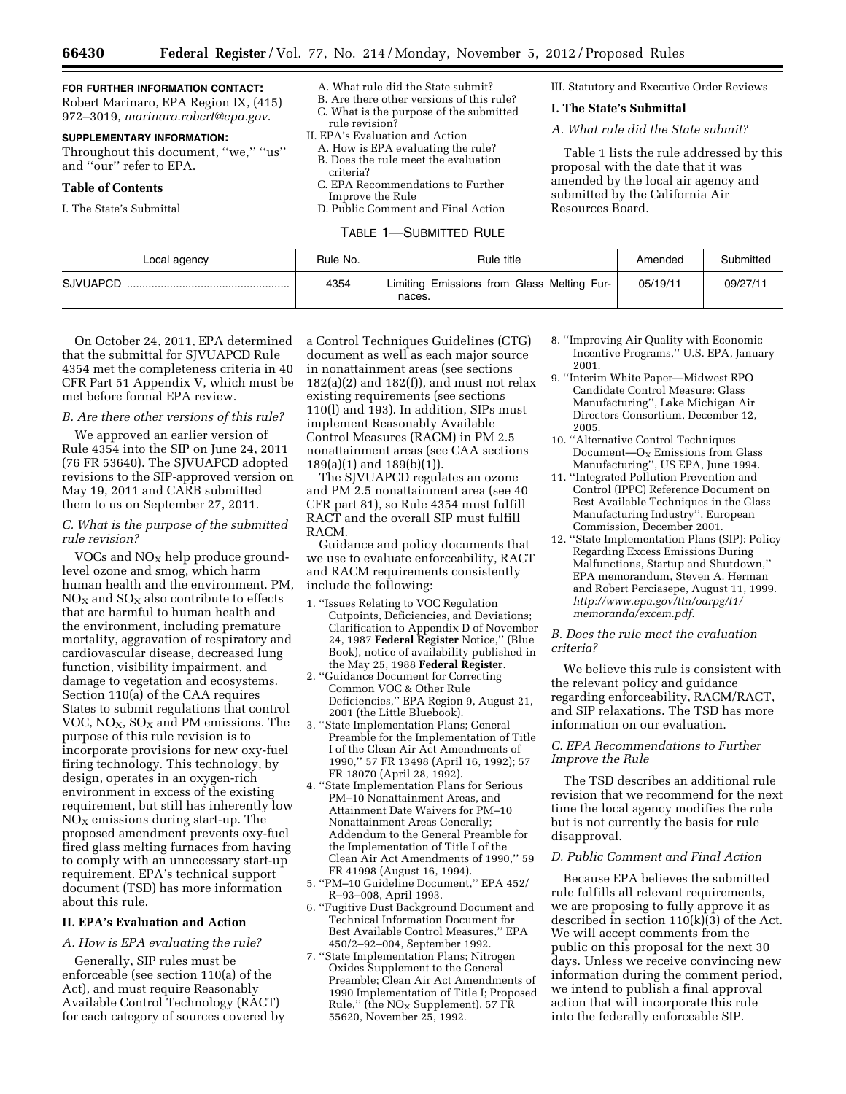## **FOR FURTHER INFORMATION CONTACT:**

Robert Marinaro, EPA Region IX, (415) 972–3019, *[marinaro.robert@epa.gov](mailto:marinaro.robert@epa.gov)*.

## **SUPPLEMENTARY INFORMATION:**

Throughout this document, ''we,'' ''us'' and ''our'' refer to EPA.

#### **Table of Contents**

I. The State's Submittal

- A. What rule did the State submit?
- B. Are there other versions of this rule? C. What is the purpose of the submitted rule revision?
- II. EPA's Evaluation and Action
- A. How is EPA evaluating the rule? B. Does the rule meet the evaluation criteria?
- C. EPA Recommendations to Further Improve the Rule
- D. Public Comment and Final Action

TABLE 1—SUBMITTED RULE

III. Statutory and Executive Order Reviews

#### **I. The State's Submittal**

*A. What rule did the State submit?* 

Table 1 lists the rule addressed by this proposal with the date that it was amended by the local air agency and submitted by the California Air Resources Board.

| Local agency    | Rule No. | Rule title                                           | Amended  | Submitted |
|-----------------|----------|------------------------------------------------------|----------|-----------|
| <b>SJVUAPCD</b> | 4354     | Limiting Emissions from Glass Melting Fur-<br>naces. | 05/19/11 | 09/27/11  |

On October 24, 2011, EPA determined that the submittal for SJVUAPCD Rule 4354 met the completeness criteria in 40 CFR Part 51 Appendix V, which must be met before formal EPA review.

## *B. Are there other versions of this rule?*

We approved an earlier version of Rule 4354 into the SIP on June 24, 2011 (76 FR 53640). The SJVUAPCD adopted revisions to the SIP-approved version on May 19, 2011 and CARB submitted them to us on September 27, 2011.

## *C. What is the purpose of the submitted rule revision?*

VOCs and  $NO<sub>X</sub>$  help produce groundlevel ozone and smog, which harm human health and the environment. PM,  $NO<sub>x</sub>$  and  $SO<sub>x</sub>$  also contribute to effects that are harmful to human health and the environment, including premature mortality, aggravation of respiratory and cardiovascular disease, decreased lung function, visibility impairment, and damage to vegetation and ecosystems. Section 110(a) of the CAA requires States to submit regulations that control VOC,  $NO<sub>X</sub>$ ,  $SO<sub>X</sub>$  and PM emissions. The purpose of this rule revision is to incorporate provisions for new oxy-fuel firing technology. This technology, by design, operates in an oxygen-rich environment in excess of the existing requirement, but still has inherently low  $NO<sub>x</sub>$  emissions during start-up. The proposed amendment prevents oxy-fuel fired glass melting furnaces from having to comply with an unnecessary start-up requirement. EPA's technical support document (TSD) has more information about this rule.

#### **II. EPA's Evaluation and Action**

## *A. How is EPA evaluating the rule?*

Generally, SIP rules must be enforceable (see section 110(a) of the Act), and must require Reasonably Available Control Technology (RACT) for each category of sources covered by a Control Techniques Guidelines (CTG) document as well as each major source in nonattainment areas (see sections  $182(a)(2)$  and  $182(f)$ , and must not relax existing requirements (see sections 110(l) and 193). In addition, SIPs must implement Reasonably Available Control Measures (RACM) in PM 2.5 nonattainment areas (see CAA sections 189(a)(1) and 189(b)(1)).

The SJVUAPCD regulates an ozone and PM 2.5 nonattainment area (see 40 CFR part 81), so Rule 4354 must fulfill RACT and the overall SIP must fulfill RACM.

Guidance and policy documents that we use to evaluate enforceability, RACT and RACM requirements consistently include the following:

- 1. ''Issues Relating to VOC Regulation Cutpoints, Deficiencies, and Deviations; Clarification to Appendix D of November 24, 1987 **Federal Register** Notice,'' (Blue Book), notice of availability published in the May 25, 1988 **Federal Register**.
- 2. ''Guidance Document for Correcting Common VOC & Other Rule Deficiencies,'' EPA Region 9, August 21, 2001 (the Little Bluebook).
- 3. ''State Implementation Plans; General Preamble for the Implementation of Title I of the Clean Air Act Amendments of 1990,'' 57 FR 13498 (April 16, 1992); 57 FR 18070 (April 28, 1992).
- 4. ''State Implementation Plans for Serious PM–10 Nonattainment Areas, and Attainment Date Waivers for PM–10 Nonattainment Areas Generally; Addendum to the General Preamble for the Implementation of Title I of the Clean Air Act Amendments of 1990,'' 59 FR 41998 (August 16, 1994).
- 5. ''PM–10 Guideline Document,'' EPA 452/ R–93–008, April 1993.
- 6. ''Fugitive Dust Background Document and Technical Information Document for Best Available Control Measures,'' EPA 450/2–92–004, September 1992.
- 7. ''State Implementation Plans; Nitrogen Oxides Supplement to the General Preamble; Clean Air Act Amendments of 1990 Implementation of Title I; Proposed Rule," (the  $NO<sub>x</sub>$  Supplement), 57 FR 55620, November 25, 1992.
- 8. ''Improving Air Quality with Economic Incentive Programs,'' U.S. EPA, January 2001.
- 9. ''Interim White Paper—Midwest RPO Candidate Control Measure: Glass Manufacturing'', Lake Michigan Air Directors Consortium, December 12, 2005.
- 10. ''Alternative Control Techniques Document— $O_x$  Emissions from Glass Manufacturing'', US EPA, June 1994.
- 11. ''Integrated Pollution Prevention and Control (IPPC) Reference Document on Best Available Techniques in the Glass Manufacturing Industry'', European Commission, December 2001.
- 12. ''State Implementation Plans (SIP): Policy Regarding Excess Emissions During Malfunctions, Startup and Shutdown,'' EPA memorandum, Steven A. Herman and Robert Perciasepe, August 11, 1999. *[http://www.epa.gov/ttn/oarpg/t1/](http://www.epa.gov/ttn/oarpg/t1/memoranda/excem.pdf)  [memoranda/excem.pdf.](http://www.epa.gov/ttn/oarpg/t1/memoranda/excem.pdf)*

### *B. Does the rule meet the evaluation criteria?*

We believe this rule is consistent with the relevant policy and guidance regarding enforceability, RACM/RACT, and SIP relaxations. The TSD has more information on our evaluation.

## *C. EPA Recommendations to Further Improve the Rule*

The TSD describes an additional rule revision that we recommend for the next time the local agency modifies the rule but is not currently the basis for rule disapproval.

## *D. Public Comment and Final Action*

Because EPA believes the submitted rule fulfills all relevant requirements, we are proposing to fully approve it as described in section  $110(k)(3)$  of the Act. We will accept comments from the public on this proposal for the next 30 days. Unless we receive convincing new information during the comment period, we intend to publish a final approval action that will incorporate this rule into the federally enforceable SIP.